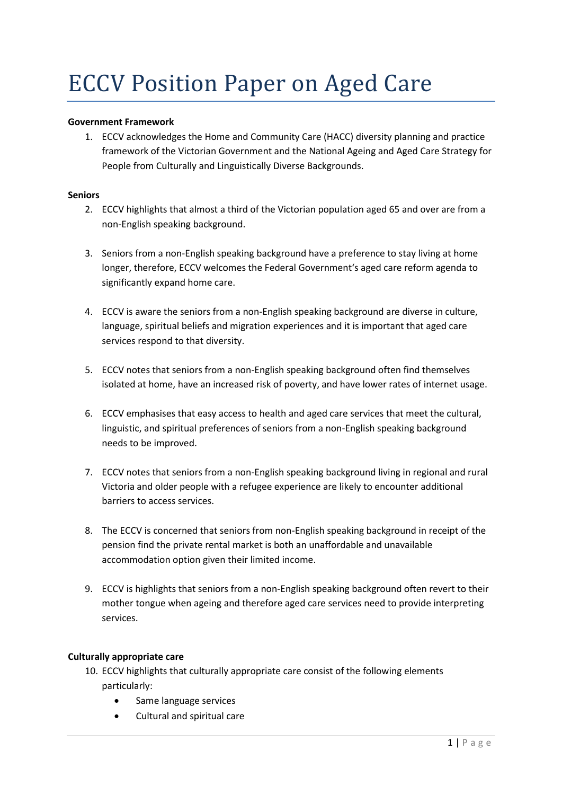# ECCV Position Paper on Aged Care

## **Government Framework**

1. ECCV acknowledges the Home and Community Care (HACC) diversity planning and practice framework of the Victorian Government and the National Ageing and Aged Care Strategy for People from Culturally and Linguistically Diverse Backgrounds.

#### **Seniors**

- 2. ECCV highlights that almost a third of the Victorian population aged 65 and over are from a non-English speaking background.
- 3. Seniors from a non-English speaking background have a preference to stay living at home longer, therefore, ECCV welcomes the Federal Government's aged care reform agenda to significantly expand home care.
- 4. ECCV is aware the seniors from a non-English speaking background are diverse in culture, language, spiritual beliefs and migration experiences and it is important that aged care services respond to that diversity.
- 5. ECCV notes that seniors from a non-English speaking background often find themselves isolated at home, have an increased risk of poverty, and have lower rates of internet usage.
- 6. ECCV emphasises that easy access to health and aged care services that meet the cultural, linguistic, and spiritual preferences of seniors from a non-English speaking background needs to be improved.
- 7. ECCV notes that seniors from a non-English speaking background living in regional and rural Victoria and older people with a refugee experience are likely to encounter additional barriers to access services.
- 8. The ECCV is concerned that seniors from non-English speaking background in receipt of the pension find the private rental market is both an unaffordable and unavailable accommodation option given their limited income.
- 9. ECCV is highlights that seniors from a non-English speaking background often revert to their mother tongue when ageing and therefore aged care services need to provide interpreting services.

## **Culturally appropriate care**

- 10. ECCV highlights that culturally appropriate care consist of the following elements particularly:
	- Same language services
	- Cultural and spiritual care